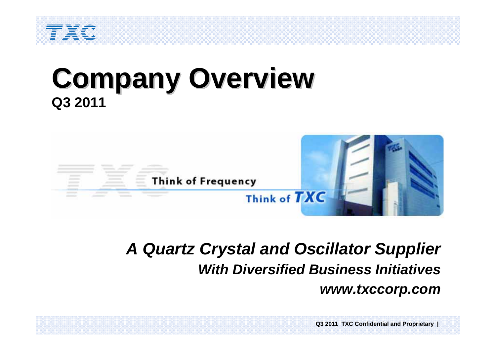

# **Company Overview Company Overview Q3 2011**



## *A Quartz Crystal and Oscillator Supplier With Diversified Business Initiativeswww.txccorp.com*

**Q3 2011 TXC Confidential and Proprietary |**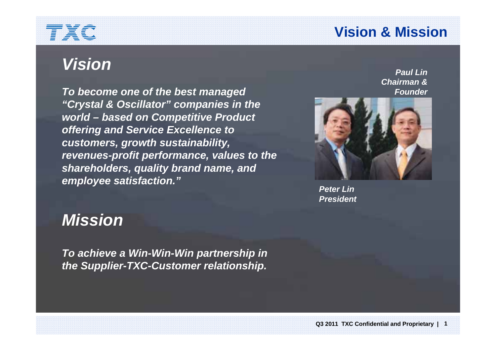## **Vision & Mission**

## *Vision*

*To become one of the best managed "Crystal & Oscillator" companies in the world – based on Competitive Product offering and Service Excellence to customers, growth sustainability, revenues-profit performance, values to the shareholders, quality brand name, and employee satisfaction."*

*Paul LinChairman &Founder*



*Peter LinPresident*

#### *Mission*

*To achieve a Win-Win-Win partnership in the Supplier-TXC-Customer relationship.*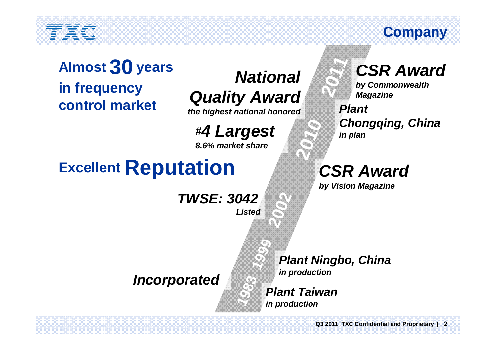#### **Company**

**Excellent Reputation Almost 30** years<br> **Excellent Reputation**<br> **Excellent Reputation**<br> **Excellent Reputation**<br> **Excellent Reputation**<br> **in frequency control market**

*National Quality Award*

*the highest national honored*

*#4 Largest*

*8.6% market share*

# **Excellent Reputation**

*TWSE: 3042Listed***942**<br> **1sted**<br> **1999** Plint<br> **999** Plan<br> **1999** Plan

*CSR Awardby Commonwealth* 

*Magazine*

*Plant Chongqing, China in plan*

*CSR Award*

*by Vision Magazine*

**1**

*Incorporated*

*Plant Ningbo, China in production*

*Plant Taiwan* **1***in production*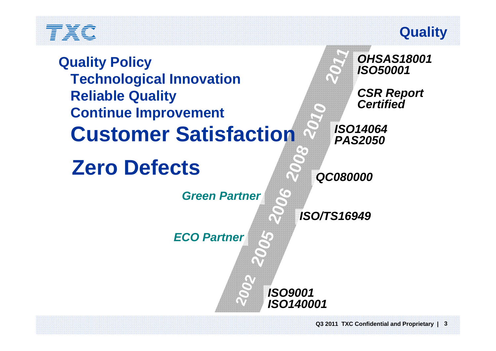#### **Quality**

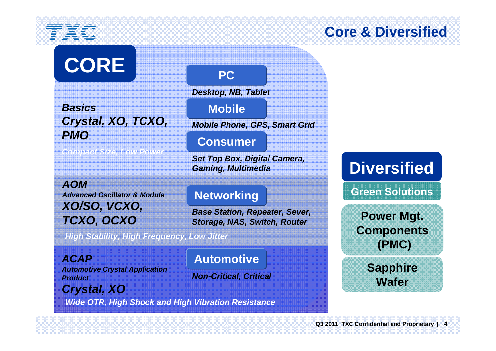# **CORE**

*BasicsCrystal, XO, TCXO, PMO* 

*Compact Size, Low Power*

*AOMAdvanced Oscillator & ModuleXO/SO, VCXO, TCXO, OCXO*

*High Stability, High Frequency, Low Jitter*

*ACAPAutomotive Crystal Application Product*

**Automotive**

**Networking**

*Base Station, Repeater, Sever, Storage, NAS, Switch, Router* 

*Set Top Box, Digital Camera,* 

*Mobile Phone, GPS, Smart Grid* 

**PC**

**Mobile**

*Desktop, NB, Tablet* 

**Consumer**

*Gaming, Multimedia* 

*Non-Critical, Critical*

*Crystal, XO*

*Wide OTR, High Shock and High Vibration Resistance*

**Core & Diversified**

**Diversified**

**Green Solutions**

**Power Mgt. Components (PMC)**

> **Sapphire Wafer**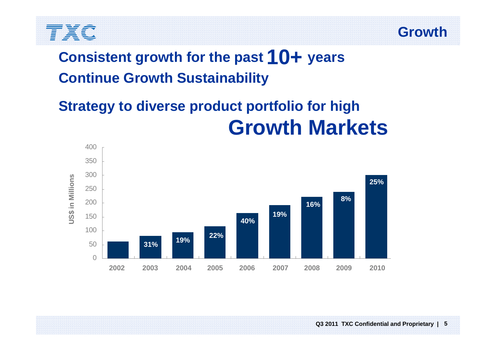



## **Consistent growth for the past 10+ years Continue Growth Sustainability**

## **Strategy to diverse product portfolio for high Growth Markets**

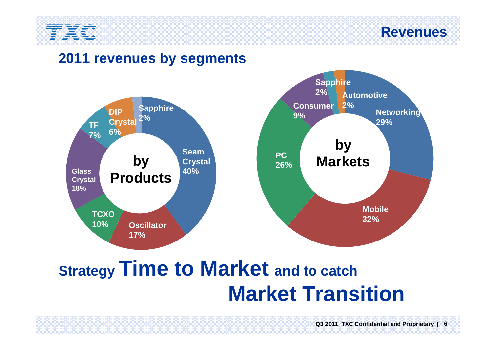

**Revenues**

#### **2011 revenues by segments**



# **Strategy Time to Market and to catch Market Transition**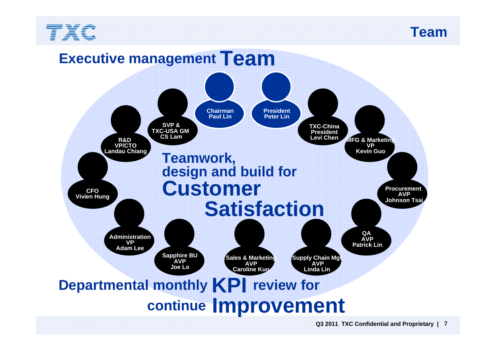

**Team**

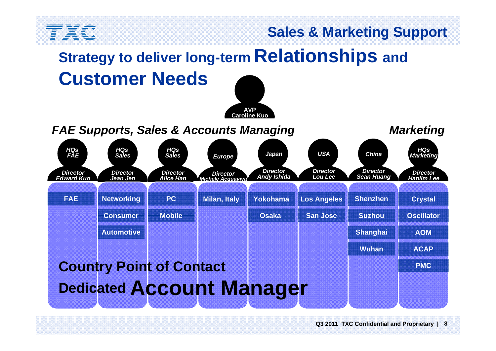

#### **Sales & Marketing Support**

# **Strategy to deliver long-term Relationships and Customer Needs**



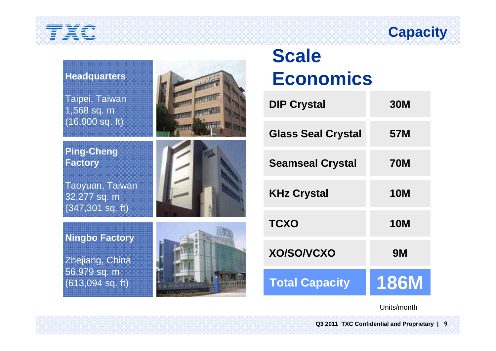## **Capacity**



## **Scale Economics**

| <b>DIP Crystal</b>        | <b>30M</b>  |
|---------------------------|-------------|
| <b>Glass Seal Crystal</b> | 57M         |
| <b>Seamseal Crystal</b>   | <b>70M</b>  |
| <b>KHz Crystal</b>        | <b>10M</b>  |
| <b>TCXO</b>               | <b>10M</b>  |
| <b>XO/SO/VCXO</b>         | <b>9M</b>   |
| <b>Total Capacity</b>     | <b>186M</b> |

Units/month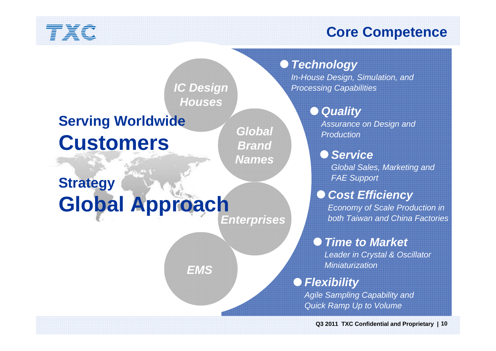#### **Core Competence**

#### *Technology*

*In-House Design, Simulation, and Processing Capabilities*

#### *Quality*

*Assurance on Design and Production*

#### *Service*

*Global Sales, Marketing and FAE Support*

#### *Cost Efficiency*

*Economy of Scale Production in both Taiwan and China Factories*

#### *Time to Market*

*Leader in Crystal & Oscillator Miniaturization*

*Flexibility*

*Agile Sampling Capability and Quick Ramp Up to Volume*

**Q3 2011 TXC Confidential and Proprietary | 10**

*IC Design Houses*

*Global*

*Brand*

*Names*

## **Serving Worldwide Customers**

## *Enterprises* **Strategy Global Approach**

*EMS*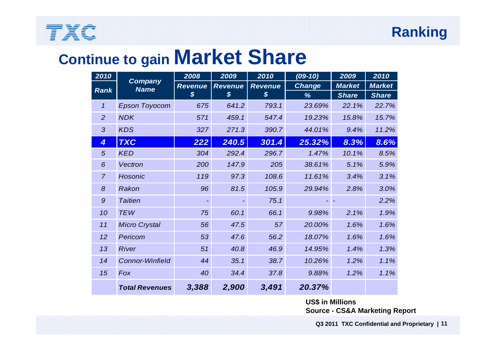#### **Ranking**

## TXC

## **Continue to gain Market Share**

| 2010                       |                        | 2008             | 2009           | 2010                       | $(09-10)$                      | 2009         | 2010          |
|----------------------------|------------------------|------------------|----------------|----------------------------|--------------------------------|--------------|---------------|
| <b>Rank</b>                | Company<br><b>Name</b> | <b>Revenue</b>   | <b>Revenue</b> | <b>Revenue</b>             | <b>Market</b><br><b>Change</b> |              | <b>Market</b> |
|                            |                        | $\boldsymbol{s}$ | $\mathcal{S}$  | $\boldsymbol{\mathcal{S}}$ | %                              | <b>Share</b> | <b>Share</b>  |
| $\boldsymbol{\mathcal{L}}$ | <b>Epson Toyocom</b>   | 675              | 641.2          | 793.1                      | 23.69%                         | 22.1%        | 22.7%         |
| $\overline{2}$             | <b>NDK</b>             | 571              | 459.1          | 547.4                      | 19.23%                         | 15.8%        | 15.7%         |
| 3                          | <b>KDS</b>             | 327              | 271.3          | 390.7                      | 44.01%                         | 9.4%         | 11.2%         |
| $\overline{4}$             | <b>TXC</b>             | 222              | 240.5          | 301.4                      | 25.32%                         | 8.3%         | 8.6%          |
| 5                          | <b>KED</b>             | 304              | 292.4          | 296.7                      | 1.47%                          | 10.1%        | 8.5%          |
| 6                          | Vectron                | 200              | 147.9          | 205                        | 38.61%                         | 5.1%         | 5.9%          |
| $\overline{7}$             | <b>Hosonic</b>         | 119              | 97.3           | 108.6                      | 11.61%                         | 3.4%         | 3.1%          |
| 8                          | Rakon                  | 96               | 81.5           | 105.9                      | 29.94%                         | 2.8%         | 3.0%          |
| 9                          | <b>Taitien</b>         |                  |                | 75.1                       |                                |              | 2.2%          |
| 10                         | <b>TEW</b>             | 75               | 60.1           | 66.1                       | 9.98%                          | 2.1%         | 1.9%          |
| 11                         | <b>Micro Crystal</b>   | 56               | 47.5           | 57                         | 20.00%                         | 1.6%         | 1.6%          |
| 12                         | Pericom                | 53               | 47.6           | 56.2                       | 18.07%                         | 1.6%         | 1.6%          |
| 13                         | <b>River</b>           | 51               | 40.8           | 46.9                       | 14.95%                         | 1.4%         | 1.3%          |
| 14                         | <b>Connor-Winfield</b> | 44               | 35.1           | 38.7                       | 10.26%                         | 1.2%         | 1.1%          |
| 15                         | Fox                    | 40               | 34.4           | 37.8                       | 9.88%                          | 1.2%         | 1.1%          |
|                            | <b>Total Revenues</b>  | 3,388            | 2,900          | 3,491                      | 20.37%                         |              |               |

#### **US\$ in Millions Source - CS&A Marketing Report**

**Q3 2011 TXC Confidential and Proprietary | 11**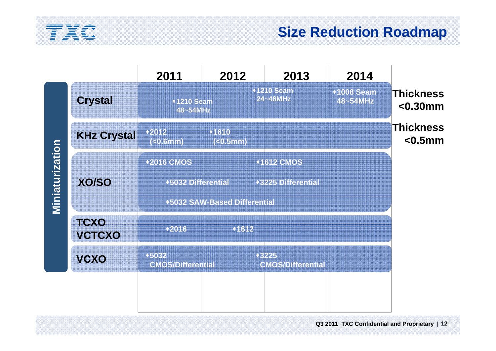

#### **Size Reduction Roadmap**

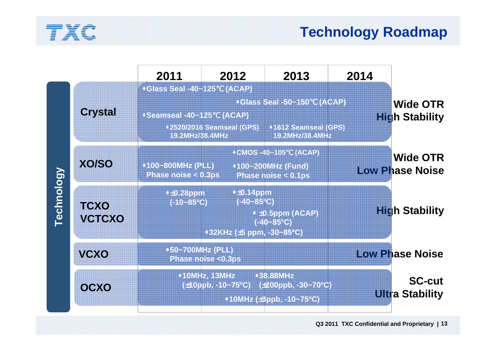

|                   |                              | 2011                                                                                                                             | 2012                                                                    | 2013                                                                  | 2014 |                                           |
|-------------------|------------------------------|----------------------------------------------------------------------------------------------------------------------------------|-------------------------------------------------------------------------|-----------------------------------------------------------------------|------|-------------------------------------------|
| <b>Technology</b> | <b>Crystal</b>               | <b>*Glass Seal -40~125</b><br>◆Seamseal -40~125<br>19.2MHz/38.4MHz                                                               | (ACAP)<br>(ACAP)<br>◆2520/2016 Seamseal (GPS)                           | *Glass Seal -50~150 (ACAP)<br>◆1612 Seamseal (GPS)<br>19.2MHz/38.4MHz |      | <b>Wide OTR</b><br><b>High Stability</b>  |
|                   | <b>XO/SO</b>                 | ◆100~800MHz (PLL)<br>Phase noise $< 0.3$ ps                                                                                      | <b>•CMOS-40~105</b>                                                     | (ACAP)<br>◆100~200MHz (Fund)<br>Phase noise $< 0.1$ ps                |      | <b>Wide OTR</b><br><b>Low Phase Noise</b> |
|                   | <b>TCXO</b><br><b>VCTCXO</b> | $+4.28$ ppm<br>$(-10 - 85$ <sup>o</sup> C)                                                                                       | $+0.14$ ppm<br>$(-40 - 85$ <sup>o</sup> C)<br>◆32KHz (±5 ppm, -30~85°C) | $\cdot$ ±0.5ppm (ACAP)<br>$(-40 - 85$ <sup>o</sup> C)                 |      | <b>High Stability</b>                     |
|                   | <b>VCXO</b>                  | ◆50~700MHz (PLL)<br>Phase noise <0.3ps                                                                                           |                                                                         |                                                                       |      | <b>Low Phase Noise</b>                    |
|                   | OCXO                         | ◆10MHz, 13MHz<br>◆38.88MHz<br>$(\pm 10 \text{ppb}, -10 - 75^{\circ}\text{C})$<br>(±200ppb, -30~70°C)<br>◆10MHz (±3ppb, -10~75°C) |                                                                         |                                                                       |      | <b>SC-cut</b><br><b>Ultra Stability</b>   |